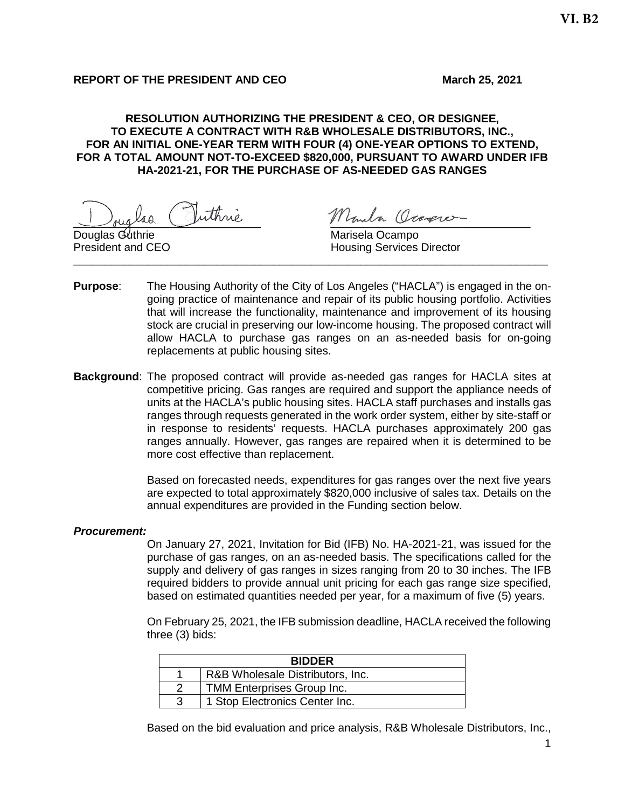## **REPORT OF THE PRESIDENT AND CEO** March 25, 2021

### **RESOLUTION AUTHORIZING THE PRESIDENT & CEO, OR DESIGNEE, TO EXECUTE A CONTRACT WITH R&B WHOLESALE DISTRIBUTORS, INC., FOR AN INITIAL ONE-YEAR TERM WITH FOUR (4) ONE-YEAR OPTIONS TO EXTEND, FOR A TOTAL AMOUNT NOT-TO-EXCEED \$820,000, PURSUANT TO AWARD UNDER IFB HA-2021-21, FOR THE PURCHASE OF AS-NEEDED GAS RANGES**

Douglas Guthrie Marisela Ocampo

uthrie Monda Oconere

Housing Services Director

**Purpose**: The Housing Authority of the City of Los Angeles ("HACLA") is engaged in the ongoing practice of maintenance and repair of its public housing portfolio. Activities that will increase the functionality, maintenance and improvement of its housing stock are crucial in preserving our low-income housing. The proposed contract will allow HACLA to purchase gas ranges on an as-needed basis for on-going replacements at public housing sites.

**\_\_\_\_\_\_\_\_\_\_\_\_\_\_\_\_\_\_\_\_\_\_\_\_\_\_\_\_\_\_\_\_\_\_\_\_\_\_\_\_\_\_\_\_\_\_\_\_\_\_\_\_\_\_\_\_\_\_\_\_\_\_\_\_\_\_\_\_\_\_\_\_\_\_\_\_**

**Background**: The proposed contract will provide as-needed gas ranges for HACLA sites at competitive pricing. Gas ranges are required and support the appliance needs of units at the HACLA's public housing sites. HACLA staff purchases and installs gas ranges through requests generated in the work order system, either by site-staff or in response to residents' requests. HACLA purchases approximately 200 gas ranges annually. However, gas ranges are repaired when it is determined to be more cost effective than replacement.

> Based on forecasted needs, expenditures for gas ranges over the next five years are expected to total approximately \$820,000 inclusive of sales tax. Details on the annual expenditures are provided in the Funding section below.

### *Procurement:*

On January 27, 2021, Invitation for Bid (IFB) No. HA-2021-21, was issued for the purchase of gas ranges, on an as-needed basis. The specifications called for the supply and delivery of gas ranges in sizes ranging from 20 to 30 inches. The IFB required bidders to provide annual unit pricing for each gas range size specified, based on estimated quantities needed per year, for a maximum of five (5) years.

On February 25, 2021, the IFB submission deadline, HACLA received the following three (3) bids:

| <b>BIDDER</b>                     |  |  |  |  |  |  |  |
|-----------------------------------|--|--|--|--|--|--|--|
| R&B Wholesale Distributors, Inc.  |  |  |  |  |  |  |  |
| <b>TMM Enterprises Group Inc.</b> |  |  |  |  |  |  |  |
| 1 Stop Electronics Center Inc.    |  |  |  |  |  |  |  |

Based on the bid evaluation and price analysis, R&B Wholesale Distributors, Inc.,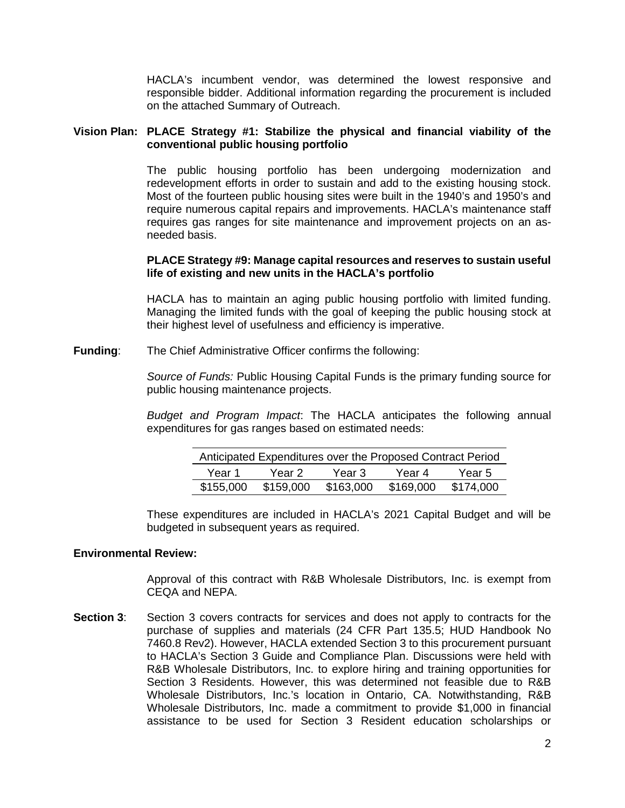HACLA's incumbent vendor, was determined the lowest responsive and responsible bidder. Additional information regarding the procurement is included on the attached Summary of Outreach.

### **Vision Plan: PLACE Strategy #1: Stabilize the physical and financial viability of the conventional public housing portfolio**

The public housing portfolio has been undergoing modernization and redevelopment efforts in order to sustain and add to the existing housing stock. Most of the fourteen public housing sites were built in the 1940's and 1950's and require numerous capital repairs and improvements. HACLA's maintenance staff requires gas ranges for site maintenance and improvement projects on an asneeded basis.

### **PLACE Strategy #9: Manage capital resources and reserves to sustain useful life of existing and new units in the HACLA's portfolio**

HACLA has to maintain an aging public housing portfolio with limited funding. Managing the limited funds with the goal of keeping the public housing stock at their highest level of usefulness and efficiency is imperative.

**Funding**: The Chief Administrative Officer confirms the following:

*Source of Funds:* Public Housing Capital Funds is the primary funding source for public housing maintenance projects.

*Budget and Program Impact*: The HACLA anticipates the following annual expenditures for gas ranges based on estimated needs:

|           |           | Anticipated Expenditures over the Proposed Contract Period |           |           |
|-----------|-----------|------------------------------------------------------------|-----------|-----------|
| Year 1    | Year 2    | Year 3.                                                    | Year 4    | Year 5    |
| \$155,000 | \$159,000 | \$163,000                                                  | \$169,000 | \$174,000 |

These expenditures are included in HACLA's 2021 Capital Budget and will be budgeted in subsequent years as required.

### **Environmental Review:**

Approval of this contract with R&B Wholesale Distributors, Inc. is exempt from CEQA and NEPA.

**Section 3:** Section 3 covers contracts for services and does not apply to contracts for the purchase of supplies and materials (24 CFR Part 135.5; HUD Handbook No 7460.8 Rev2). However, HACLA extended Section 3 to this procurement pursuant to HACLA's Section 3 Guide and Compliance Plan. Discussions were held with R&B Wholesale Distributors, Inc. to explore hiring and training opportunities for Section 3 Residents. However, this was determined not feasible due to R&B Wholesale Distributors, Inc.'s location in Ontario, CA. Notwithstanding, R&B Wholesale Distributors, Inc. made a commitment to provide \$1,000 in financial assistance to be used for Section 3 Resident education scholarships or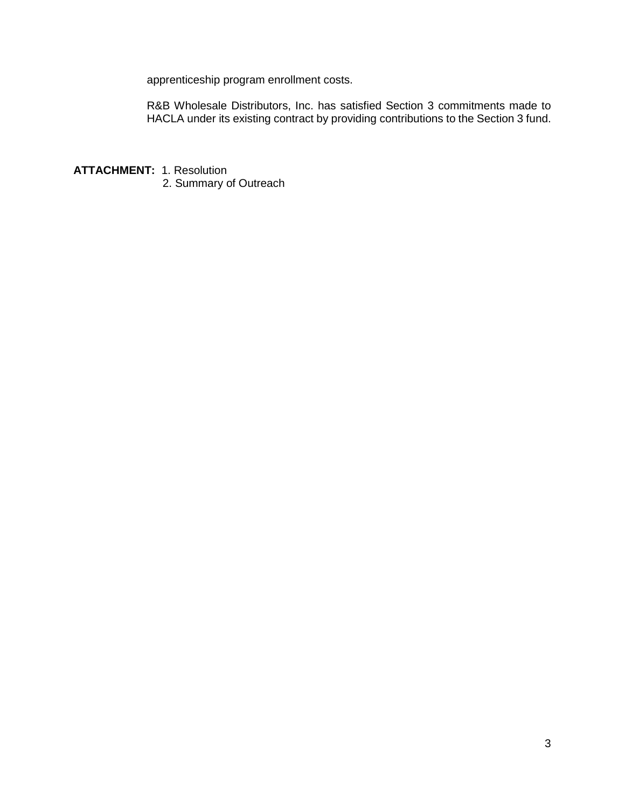apprenticeship program enrollment costs.

R&B Wholesale Distributors, Inc. has satisfied Section 3 commitments made to HACLA under its existing contract by providing contributions to the Section 3 fund.

**ATTACHMENT:** 1. Resolution 2. Summary of Outreach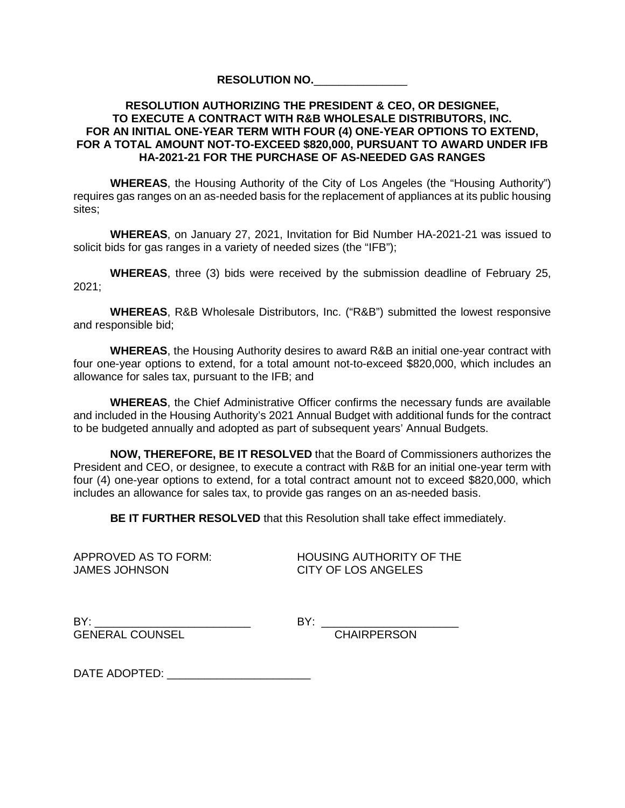### **RESOLUTION NO.**\_\_\_\_\_\_\_\_\_\_\_\_\_\_\_

### **RESOLUTION AUTHORIZING THE PRESIDENT & CEO, OR DESIGNEE, TO EXECUTE A CONTRACT WITH R&B WHOLESALE DISTRIBUTORS, INC. FOR AN INITIAL ONE-YEAR TERM WITH FOUR (4) ONE-YEAR OPTIONS TO EXTEND, FOR A TOTAL AMOUNT NOT-TO-EXCEED \$820,000, PURSUANT TO AWARD UNDER IFB HA-2021-21 FOR THE PURCHASE OF AS-NEEDED GAS RANGES**

**WHEREAS**, the Housing Authority of the City of Los Angeles (the "Housing Authority") requires gas ranges on an as-needed basis for the replacement of appliances at its public housing sites;

**WHEREAS**, on January 27, 2021, Invitation for Bid Number HA-2021-21 was issued to solicit bids for gas ranges in a variety of needed sizes (the "IFB");

**WHEREAS**, three (3) bids were received by the submission deadline of February 25, 2021;

**WHEREAS**, R&B Wholesale Distributors, Inc. ("R&B") submitted the lowest responsive and responsible bid;

**WHEREAS**, the Housing Authority desires to award R&B an initial one-year contract with four one-year options to extend, for a total amount not-to-exceed \$820,000, which includes an allowance for sales tax, pursuant to the IFB; and

**WHEREAS**, the Chief Administrative Officer confirms the necessary funds are available and included in the Housing Authority's 2021 Annual Budget with additional funds for the contract to be budgeted annually and adopted as part of subsequent years' Annual Budgets.

**NOW, THEREFORE, BE IT RESOLVED** that the Board of Commissioners authorizes the President and CEO, or designee, to execute a contract with R&B for an initial one-year term with four (4) one-year options to extend, for a total contract amount not to exceed \$820,000, which includes an allowance for sales tax, to provide gas ranges on an as-needed basis.

**BE IT FURTHER RESOLVED** that this Resolution shall take effect immediately.

APPROVED AS TO FORM: HOUSING AUTHORITY OF THE CITY OF LOS ANGELES

BY: \_\_\_\_\_\_\_\_\_\_\_\_\_\_\_\_\_\_\_\_\_\_\_\_\_ BY: \_\_\_\_\_\_\_\_\_\_\_\_\_\_\_\_\_\_\_\_\_\_ GENERAL COUNSEL CHAIRPERSON

DATE ADOPTED:  $\blacksquare$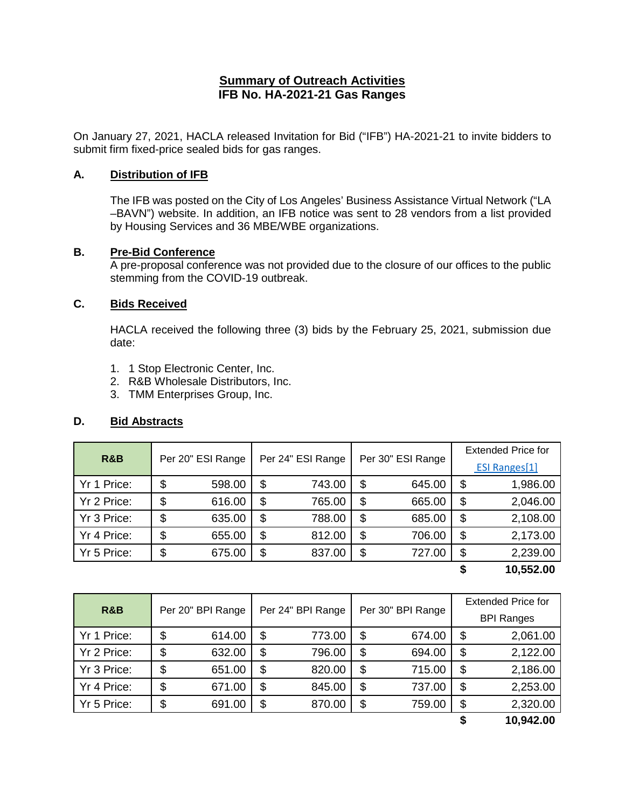## **Summary of Outreach Activities IFB No. HA-2021-21 Gas Ranges**

On January 27, 2021, HACLA released Invitation for Bid ("IFB") HA-2021-21 to invite bidders to submit firm fixed-price sealed bids for gas ranges.

## **A. Distribution of IFB**

The IFB was posted on the City of Los Angeles' Business Assistance Virtual Network ("LA –BAVN") website. In addition, an IFB notice was sent to 28 vendors from a list provided by Housing Services and 36 MBE/WBE organizations.

## **B. Pre-Bid Conference**

A pre-proposal conference was not provided due to the closure of our offices to the public stemming from the COVID-19 outbreak.

### **C. Bids Received**

HACLA received the following three (3) bids by the February 25, 2021, submission due date:

- 1. 1 Stop Electronic Center, Inc.
- 2. R&B Wholesale Distributors, Inc.
- 3. TMM Enterprises Group, Inc.

## **D. Bid Abstracts**

| R&B         | Per 20" ESI Range |        | Per 24" ESI Range |        | Per 30" ESI Range |        | <b>Extended Price for</b> |
|-------------|-------------------|--------|-------------------|--------|-------------------|--------|---------------------------|
|             |                   |        |                   |        |                   |        | <b>ESI Ranges[1]</b>      |
| Yr 1 Price: | \$                | 598.00 | \$                | 743.00 | \$                | 645.00 | \$<br>1,986.00            |
| Yr 2 Price: | \$                | 616.00 | \$                | 765.00 | \$                | 665.00 | \$<br>2,046.00            |
| Yr 3 Price: | \$                | 635.00 | \$                | 788.00 | \$                | 685.00 | \$<br>2,108.00            |
| Yr 4 Price: | \$                | 655.00 | \$                | 812.00 | \$                | 706.00 | \$<br>2,173.00            |
| Yr 5 Price: | \$                | 675.00 | \$                | 837.00 | \$                | 727.00 | \$<br>2,239.00            |
|             |                   |        |                   |        |                   |        | 10,552.00                 |

|             | Per 20" BPI Range |        | Per 24" BPI Range |        | Per 30" BPI Range |        |    | <b>Extended Price for</b> |
|-------------|-------------------|--------|-------------------|--------|-------------------|--------|----|---------------------------|
| R&B         |                   |        |                   |        |                   |        |    | <b>BPI Ranges</b>         |
| Yr 1 Price: | \$                | 614.00 | \$                | 773.00 | \$                | 674.00 | \$ | 2,061.00                  |
| Yr 2 Price: | \$                | 632.00 | \$                | 796.00 | \$                | 694.00 | \$ | 2,122.00                  |
| Yr 3 Price: | \$                | 651.00 | \$                | 820.00 | \$                | 715.00 | \$ | 2,186.00                  |
| Yr 4 Price: | \$                | 671.00 | \$                | 845.00 | \$                | 737.00 | \$ | 2,253.00                  |
| Yr 5 Price: | \$                | 691.00 | \$                | 870.00 | \$                | 759.00 | \$ | 2,320.00                  |
|             |                   |        |                   |        |                   |        | ́  | 10.010.00                 |

**\$ 10,942.00**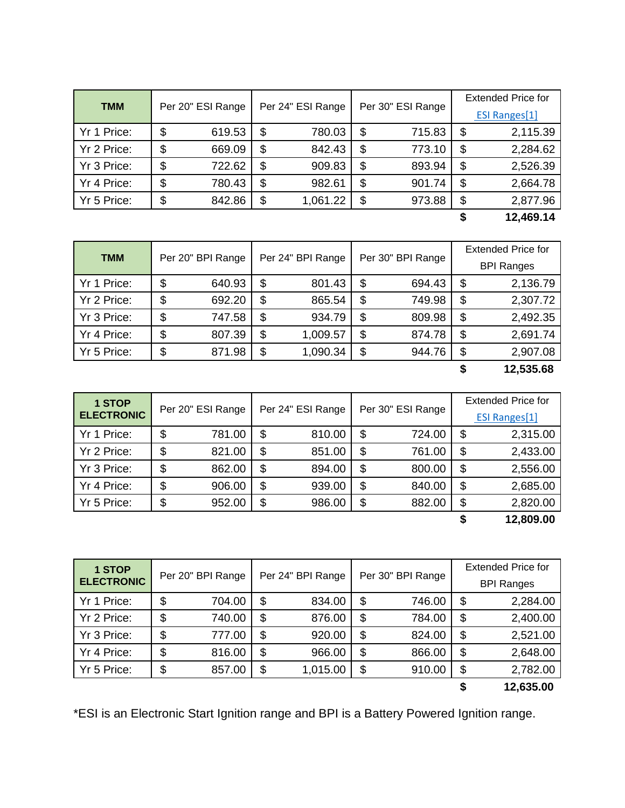| <b>TMM</b>  | Per 20" ESI Range |        | Per 24" ESI Range |          | Per 30" ESI Range |        | <b>Extended Price for</b> |               |
|-------------|-------------------|--------|-------------------|----------|-------------------|--------|---------------------------|---------------|
|             |                   |        |                   |          |                   |        |                           | ESI Ranges[1] |
| Yr 1 Price: | \$                | 619.53 | \$                | 780.03   | \$                | 715.83 | \$                        | 2,115.39      |
| Yr 2 Price: | \$                | 669.09 | \$                | 842.43   | \$                | 773.10 | \$                        | 2,284.62      |
| Yr 3 Price: | \$                | 722.62 | \$                | 909.83   | \$                | 893.94 | \$                        | 2,526.39      |
| Yr 4 Price: | \$                | 780.43 | \$                | 982.61   | \$                | 901.74 | \$                        | 2,664.78      |
| Yr 5 Price: | \$                | 842.86 | \$                | 1,061.22 | \$                | 973.88 | \$                        | 2,877.96      |
|             |                   |        |                   |          |                   |        |                           | 12,469.14     |

| <b>TMM</b>  | Per 20" BPI Range |        | Per 24" BPI Range |          | Per 30" BPI Range     |        | <b>Extended Price for</b> |           |
|-------------|-------------------|--------|-------------------|----------|-----------------------|--------|---------------------------|-----------|
|             |                   |        |                   |          |                       |        | <b>BPI Ranges</b>         |           |
| Yr 1 Price: | \$                | 640.93 | \$                | 801.43   | \$                    | 694.43 | \$                        | 2,136.79  |
| Yr 2 Price: | \$                | 692.20 | \$                | 865.54   | \$                    | 749.98 | \$                        | 2,307.72  |
| Yr 3 Price: | \$                | 747.58 | \$                | 934.79   | $\boldsymbol{\theta}$ | 809.98 | \$                        | 2,492.35  |
| Yr 4 Price: | \$                | 807.39 | \$                | 1,009.57 | \$                    | 874.78 | \$                        | 2,691.74  |
| Yr 5 Price: | \$                | 871.98 | \$                | 1,090.34 | \$                    | 944.76 | \$                        | 2,907.08  |
|             |                   |        |                   |          |                       |        |                           | 12,535.68 |

| <b>1 STOP</b>     | Per 20" ESI Range |        | Per 24" ESI Range |        | Per 30" ESI Range |        | <b>Extended Price for</b> |                      |
|-------------------|-------------------|--------|-------------------|--------|-------------------|--------|---------------------------|----------------------|
| <b>ELECTRONIC</b> |                   |        |                   |        |                   |        |                           | <b>ESI Ranges[1]</b> |
| Yr 1 Price:       | \$                | 781.00 | \$                | 810.00 | \$                | 724.00 | \$                        | 2,315.00             |
| Yr 2 Price:       | \$                | 821.00 | \$                | 851.00 | \$                | 761.00 | \$                        | 2,433.00             |
| Yr 3 Price:       | \$                | 862.00 | \$                | 894.00 | \$                | 800.00 | \$                        | 2,556.00             |
| Yr 4 Price:       | \$                | 906.00 | \$                | 939.00 | \$                | 840.00 | \$                        | 2,685.00             |
| Yr 5 Price:       | \$                | 952.00 | \$                | 986.00 | \$                | 882.00 | \$                        | 2,820.00             |
|                   |                   |        |                   |        |                   |        | \$                        | 12,809.00            |

| 1 STOP            | Per 20" BPI Range |        | Per 24" BPI Range |          | Per 30" BPI Range     |        | <b>Extended Price for</b> |           |
|-------------------|-------------------|--------|-------------------|----------|-----------------------|--------|---------------------------|-----------|
| <b>ELECTRONIC</b> |                   |        |                   |          |                       |        | <b>BPI Ranges</b>         |           |
| Yr 1 Price:       | \$                | 704.00 | \$                | 834.00   | \$                    | 746.00 | \$                        | 2,284.00  |
| Yr 2 Price:       | \$                | 740.00 | \$                | 876.00   | \$                    | 784.00 | \$                        | 2,400.00  |
| Yr 3 Price:       | \$                | 777.00 | \$                | 920.00   | \$                    | 824.00 | \$                        | 2,521.00  |
| Yr 4 Price:       | \$                | 816.00 | \$                | 966.00   | \$                    | 866.00 | \$                        | 2,648.00  |
| Yr 5 Price:       | \$                | 857.00 | \$                | 1,015.00 | $\boldsymbol{\theta}$ | 910.00 | \$                        | 2,782.00  |
|                   |                   |        |                   |          |                       |        | \$                        | 12,635.00 |

\*ESI is an Electronic Start Ignition range and BPI is a Battery Powered Ignition range.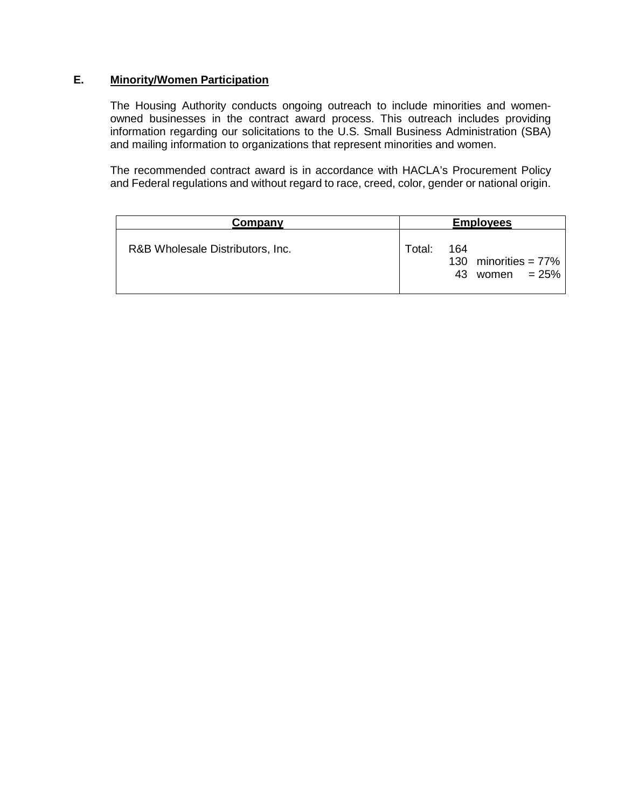## **E. Minority/Women Participation**

The Housing Authority conducts ongoing outreach to include minorities and womenowned businesses in the contract award process. This outreach includes providing information regarding our solicitations to the U.S. Small Business Administration (SBA) and mailing information to organizations that represent minorities and women.

The recommended contract award is in accordance with HACLA's Procurement Policy and Federal regulations and without regard to race, creed, color, gender or national origin.

| Company                          |        | <b>Employees</b>                                      |
|----------------------------------|--------|-------------------------------------------------------|
| R&B Wholesale Distributors, Inc. | Total: | 164<br>130 minorities = $77\%$<br>women $= 25%$<br>43 |